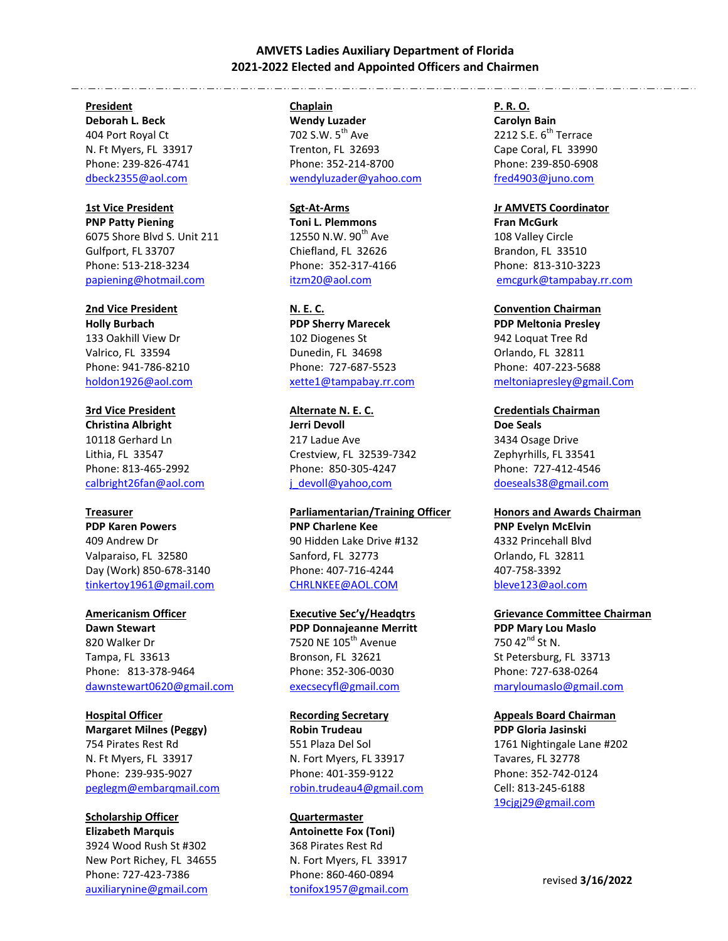## **AMVETS Ladies Auxiliary Department of Florida 2021-2022 Elected and Appointed Officers and Chairmen**

### **President**

**Deborah L. Beck**  404 Port Royal Ct N. Ft Myers, FL 33917 Phone: 239-826-4741 [dbeck2355@aol.com](mailto:dbeck2355@aol.com)

## **1st Vice President**

**PNP Patty Piening** 6075 Shore Blvd S. Unit 211 Gulfport, FL 33707 Phone: 513-218-3234 [papiening@hotmail.com](mailto:papiening@hotmail.com)

### **2nd Vice President**

**Holly Burbach**  133 Oakhill View Dr Valrico, FL 33594 Phone: 941-786-8210 [holdon1926@aol.com](mailto:holdon1926@aol.com) 

**3rd Vice President Christina Albright**  10118 Gerhard Ln Lithia, FL 33547 Phone: 813-465-2992 [calbright26fan@aol.com](mailto:calbright26fan@aol.com)

### **Treasurer**

**PDP Karen Powers**  409 Andrew Dr Valparaiso, FL 32580 Day (Work) 850-678-3140 [tinkertoy1961@gmail.com](mailto:tinkertoy1961@gmail.com)

### **Americanism Officer**

**Dawn Stewart**  820 Walker Dr Tampa, FL 33613 Phone: 813-378-9464 [dawnstewart0620@](mailto:linetta@comcast.net)gmail.com

**Hospital Officer Margaret Milnes (Peggy)**  754 Pirates Rest Rd N. Ft Myers, FL 33917 Phone: 239-935-9027 [peglegm@embarqmail.com](mailto:peglegm@embarqmail.com)

### **Scholarship Officer Elizabeth Marquis**  3924 Wood Rush St #302

New Port Richey, FL 34655 Phone: 727-423-7386 [auxiliarynine@gmail.com](mailto:tonifox1957@gmail.com) 

### **Chaplain**

**Wendy Luzader**  702 S.W. 5<sup>th</sup> Ave Trenton, FL 32693 Phone: 352-214-8700 wendyluzader@yahoo.com

## **Sgt-At-Arms**

**Toni L. Plemmons**  12550 N.W.  $90^{th}$  Ave Chiefland, FL 32626 Phone: 352-317-4166 [itz](mailto:ladycarole7@comcast.net)m20@aol.com

### **N. E. C.**

**PDP Sherry Marecek**  102 Diogenes St Dunedin, FL 34698 Phone: 727-687-5523 [xette1@tampabay.rr.com](mailto:xette1@tampabay.rr.com)

**Alternate N. E. C. Jerri Devoll**  217 Ladue Ave Crestview, FL 32539-7342 Phone: 850-305-4247 [j\\_devoll@yahoo,com](mailto:execsecyfl@gmail.com)

**Parliamentarian/Training Officer PNP Charlene Kee**  90 Hidden Lake Drive #132 Sanford, FL 32773 Phone: 407-716-4244 [CHRLNKEE@AOL.COM](mailto:CHRLNKEE@AOL.COM) 

### **Executive Sec'y/Headqtrs**

**PDP Donnajeanne Merritt**  7520 NE 105<sup>th</sup> Avenue Bronson, FL 32621 Phone: 352-306-0030 [execsecyfl@gmail.com](mailto:dhakler@gmail.com)

**Recording Secretary Robin Trudeau**  551 Plaza Del Sol N. Fort Myers, FL 33917 Phone: 401-359-9122 [robin.trudeau4](mailto:ladycarole7@comcast.net)@gmail.com

## **Quartermaster Antoinette Fox (Toni)**  368 Pirates Rest Rd N. Fort Myers, FL 33917 Phone: 860-460-0894 [tonifox1957@gmail.com](mailto:tonifox1957@gmail.com)

### **P. R. O.**

**Carolyn Bain**  2212 S.E.  $6^{th}$  Terrace Cape Coral, FL 33990 Phone: 239-850-6908 fred4903@juno.com

### **Jr AMVETS Coordinator**

**Fran McGurk**  108 Valley Circle Brandon, FL 33510 Phone: 813-310-3223 [emcgurk@tampabay.rr.com](mailto:emcgurk@tampabay.rr.com)

### **Convention Chairman**

**PDP Meltonia Presley**  942 Loquat Tree Rd Orlando, FL 32811 Phone: 407-223-5688 [meltoniapresley@gmail.Com](mailto:meltoniapresley@gmail.com) 

## **Credentials Chairman Doe Seals**  3434 Osage Drive Zephyrhills, FL 33541 Phone: 727-412-4546

[doeseals38@gmail.com](mailto:doeseals38@gmail.com)

## **Honors and Awards Chairman PNP Evelyn McElvin**  4332 Princehall Blvd Orlando, FL 32811 407-758-3392

[bleve123@aol.com](mailto:Bleve123@aol.com)

# **Grievance Committee Chairman**

**PDP Mary Lou Maslo**  750 42<sup>nd</sup> St N. St Petersburg, FL 33713 Phone: 727-638-0264 [maryloumaslo@gmail.com](mailto:sheila0234@aol.com)

## **Appeals Board Chairman**

**PDP Gloria Jasinski**  1761 Nightingale Lane #202 Tavares, FL 32778 Phone: 352-742-0124 Cell: 813-245-6188 [19cjgj29@gmail.com](mailto:19cjgj29@gmail.Com)